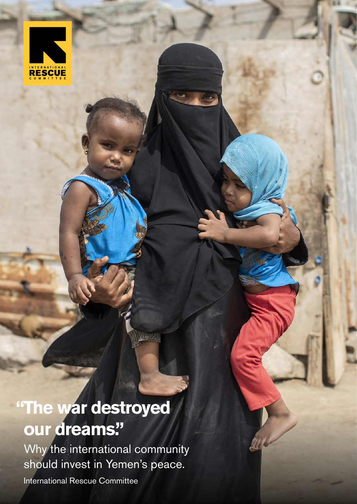

## **"The war destroyed our dreams."**

Why the international community should invest in Yemen's peace.

**LANG A** 

International Rescue Committee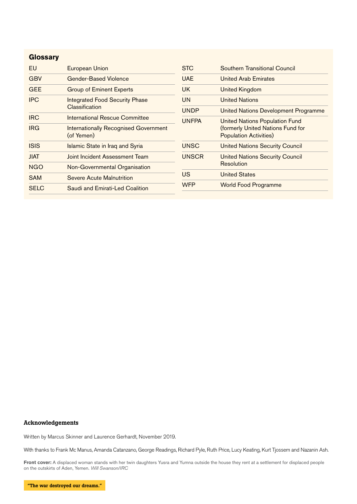#### **Glossary**

| EU          | <b>European Union</b>                                      | <b>STC</b>                       | Southern Transitional Council                                                                               |
|-------------|------------------------------------------------------------|----------------------------------|-------------------------------------------------------------------------------------------------------------|
| <b>GBV</b>  | <b>Gender-Based Violence</b>                               | <b>UAE</b>                       | <b>United Arab Emirates</b>                                                                                 |
| <b>GEE</b>  | <b>Group of Eminent Experts</b>                            | <b>UK</b>                        | <b>United Kingdom</b>                                                                                       |
| <b>IPC</b>  | <b>Integrated Food Security Phase</b><br>Classification    | <b>UN</b>                        | <b>United Nations</b>                                                                                       |
|             |                                                            | <b>UNDP</b>                      | <b>United Nations Development Programme</b>                                                                 |
| <b>IRC</b>  | International Rescue Committee                             | <b>UNFPA</b>                     | <b>United Nations Population Fund</b><br>(formerly United Nations Fund for<br><b>Population Activities)</b> |
| <b>IRG</b>  | <b>Internationally Recognised Government</b><br>(of Yemen) |                                  |                                                                                                             |
| <b>ISIS</b> | <b>Islamic State in Iraq and Syria</b>                     | <b>UNSC</b>                      | <b>United Nations Security Council</b>                                                                      |
| <b>JIAT</b> | Joint Incident Assessment Team                             | <b>UNSCR</b><br>US<br><b>WFP</b> | <b>United Nations Security Council</b><br>Resolution                                                        |
| <b>NGO</b>  | Non-Governmental Organisation                              |                                  |                                                                                                             |
| <b>SAM</b>  | Severe Acute Malnutrition                                  |                                  | <b>United States</b>                                                                                        |
| <b>SELC</b> | Saudi and Emirati-Led Coalition                            |                                  | <b>World Food Programme</b>                                                                                 |

#### Acknowledgements

Written by Marcus Skinner and Laurence Gerhardt, November 2019.

With thanks to Frank Mc Manus, Amanda Catanzano, George Readings, Richard Pyle, Ruth Price, Lucy Keating, Kurt Tjossem and Nazanin Ash.

**Front cover:** A displaced woman stands with her twin daughters Yusra and Yumna outside the house they rent at a settlement for displaced people on the outskirts of Aden, Yemen. *Will Swanson/IRC*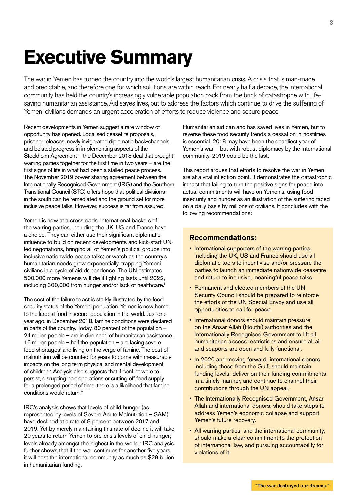### **Executive Summary**

The war in Yemen has turned the country into the world's largest humanitarian crisis. A crisis that is man-made and predictable, and therefore one for which solutions are within reach. For nearly half a decade, the international community has held the country's increasingly vulnerable population back from the brink of catastrophe with lifesaving humanitarian assistance. Aid saves lives, but to address the factors which continue to drive the suffering of Yemeni civilians demands an urgent acceleration of efforts to reduce violence and secure peace.

Recent developments in Yemen suggest a rare window of opportunity has opened. Localised ceasefire proposals, prisoner releases, newly invigorated diplomatic back-channels, and belated progress in implementing aspects of the Stockholm Agreement – the December 2018 deal that brought warring parties together for the first time in two years – are the first signs of life in what had been a stalled peace process. The November 2019 power sharing agreement between the Internationally Recognised Government (IRG) and the Southern Transitional Council (STC) offers hope that political divisions in the south can be remediated and the ground set for more inclusive peace talks. However, success is far from assured.

Yemen is now at a crossroads. International backers of the warring parties, including the UK, US and France have a choice. They can either use their significant diplomatic influence to build on recent developments and kick-start UNled negotiations, bringing all of Yemen's political groups into inclusive nationwide peace talks; or watch as the country's humanitarian needs grow exponentially, trapping Yemeni civilians in a cycle of aid dependence. The UN estimates 500,000 more Yemenis will die if fighting lasts until 2022, including 300,000 from hunger and/or lack of healthcare.<sup>i</sup>

The cost of the failure to act is starkly illustrated by the food security status of the Yemeni population. Yemen is now home to the largest food insecure population in the world. Just one year ago, in December 2018, famine conditions were declared in parts of the country. Today, 80 percent of the population – 24 million people – are in dire need of humanitarian assistance. 16 million people – half the population – are facing severe food shortages<sup>ii</sup> and living on the verge of famine. The cost of malnutrition will be counted for years to come with measurable impacts on the long term physical and mental development of children.<sup>ii</sup> Analysis also suggests that if conflict were to persist, disrupting port operations or cutting off food supply for a prolonged period of time, there is a likelihood that famine conditions would return.<sup>iv</sup>

IRC's analysis shows that levels of child hunger (as represented by levels of Severe Acute Malnutrition – SAM) have declined at a rate of 8 percent between 2017 and 2019. Yet by merely maintaining this rate of decline it will take 20 years to return Yemen to pre-crisis levels of child hunger; levels already amongst the highest in the world.<sup>v</sup> IRC analysis further shows that if the war continues for another five years it will cost the international community as much as \$29 billion in humanitarian funding.

Humanitarian aid can and has saved lives in Yemen, but to reverse these food security trends a cessation in hostilities is essential. 2018 may have been the deadliest year of Yemen's war – but with robust diplomacy by the international community, 2019 could be the last.

This report argues that efforts to resolve the war in Yemen are at a vital inflection point. It demonstrates the catastrophic impact that failing to turn the positive signs for peace into actual commitments will have on Yemenis, using food insecurity and hunger as an illustration of the suffering faced on a daily basis by millions of civilians. It concludes with the following recommendations:

#### **Recommendations:**

- International supporters of the warring parties. including the UK, US and France should use all diplomatic tools to incentivise and/or pressure the parties to launch an immediate nationwide ceasefire and return to inclusive, meaningful peace talks.
- Permanent and elected members of the UN Security Council should be prepared to reinforce the efforts of the UN Special Envoy and use all opportunities to call for peace.
- International donors should maintain pressure on the Ansar Allah (Houthi) authorities and the Internationally Recognised Government to lift all humanitarian access restrictions and ensure all air and seaports are open and fully functional.
- In 2020 and moving forward, international donors including those from the Gulf, should maintain funding levels, deliver on their funding commitments in a timely manner, and continue to channel their contributions through the UN appeal.
- The Internationally Recognised Government, Ansar Allah and international donors, should take steps to address Yemen's economic collapse and support Yemen's future recovery.
- All warring parties, and the international community, should make a clear commitment to the protection of international law, and pursuing accountability for violations of it.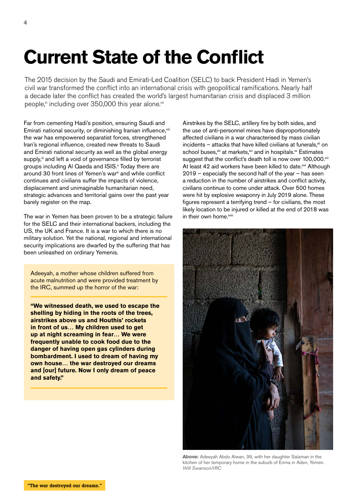# **Current State of the Conflict**

The 2015 decision by the Saudi and Emirati-Led Coalition (SELC) to back President Hadi in Yemen's civil war transformed the conflict into an international crisis with geopolitical ramifications. Nearly half a decade later the conflict has created the world's largest humanitarian crisis and displaced 3 million people,<sup>v</sup> including over 350,000 this year alone.<sup>vii</sup>

Far from cementing Hadi's position, ensuring Saudi and Emirati national security, or diminishing Iranian influence, viii the war has empowered separatist forces, strengthened Iran's regional influence, created new threats to Saudi and Emirati national security as well as the global energy supply,<sup>ix</sup> and left a void of governance filled by terrorist groups including Al Qaeda and ISIS.<sup>x</sup> Today there are around 30 front lines of Yemen's war<sup>xi</sup> and while conflict continues and civilians suffer the impacts of violence, displacement and unimaginable humanitarian need, strategic advances and territorial gains over the past year barely register on the map.

The war in Yemen has been proven to be a strategic failure for the SELC and their international backers, including the US, the UK and France. It is a war to which there is no military solution. Yet the national, regional and international security implications are dwarfed by the suffering that has been unleashed on ordinary Yemenis.

Adeeyah, a mother whose children suffered from acute malnutrition and were provided treatment by the IRC, summed up the horror of the war:

**"We witnessed death, we used to escape the shelling by hiding in the roots of the trees, airstrikes above us and Houthis' rockets in front of us… My children used to get up at night screaming in fear… We were frequently unable to cook food due to the danger of having open gas cylinders during bombardment. I used to dream of having my own house… the war destroyed our dreams and [our] future. Now I only dream of peace and safety."**

Airstrikes by the SELC, artillery fire by both sides, and the use of anti-personnel mines have disproportionately affected civilians in a war characterised by mass civilian  $incidents - attacks that have killed civilians at funerals<sub>xii</sub> on$ school buses,<sup>xiii</sup> at markets, xiv and in hospitals.<sup>xv</sup> Estimates suggest that the conflict's death toll is now over 100,000.<sup>xvi</sup> At least 42 aid workers have been killed to date.<sup>xvii</sup> Although 2019 – especially the second half of the year – has seen a reduction in the number of airstrikes and conflict activity, civilians continue to come under attack. Over 500 homes were hit by explosive weaponry in July 2019 alone. These figures represent a terrifying trend – for civilians, the most likely location to be injured or killed at the end of 2018 was in their own home.<sup>xviii</sup>



**Above:** Adeeyah Abdo Alwan, 39, with her daughter Salaman in the kitchen of her temporary home in the suburb of Enma in Aden, Yemen. *Will Swanson/IRC*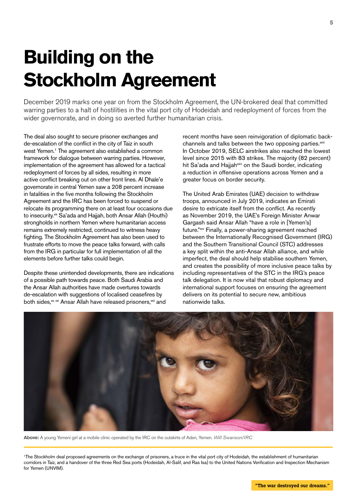# **Building on the Stockholm Agreement**

December 2019 marks one year on from the Stockholm Agreement, the UN-brokered deal that committed warring parties to a halt of hostilities in the vital port city of Hodeidah and redeployment of forces from the wider governorate, and in doing so averted further humanitarian crisis.

The deal also sought to secure prisoner exchanges and de-escalation of the conflict in the city of Taiz in south west Yemen.1 The agreement also established a common framework for dialogue between warring parties. However, implementation of the agreement has allowed for a tactical redeployment of forces by all sides, resulting in more active conflict breaking out on other front lines. Al Dhale'e governorate in central Yemen saw a 208 percent increase in fatalities in the five months following the Stockholm Agreement and the IRC has been forced to suspend or relocate its programming there on at least four occasions due to insecurity.<sup>xix</sup> Sa'ada and Hajjah, both Ansar Allah (Houthi) strongholds in northern Yemen where humanitarian access remains extremely restricted, continued to witness heavy fighting. The Stockholm Agreement has also been used to frustrate efforts to move the peace talks forward, with calls from the IRG in particular for full implementation of all the elements before further talks could begin.

Despite these unintended developments, there are indications of a possible path towards peace. Both Saudi Arabia and the Ansar Allah authorities have made overtures towards de-escalation with suggestions of localised ceasefires by both sides, xx, xxi Ansar Allah have released prisoners, xxii and

recent months have seen reinvigoration of diplomatic backchannels and talks between the two opposing parties.<sup>xxiii</sup> In October 2019, SELC airstrikes also reached the lowest level since 2015 with 83 strikes. The majority (82 percent) hit Sa'ada and Hajjah<sup>xxiv</sup> on the Saudi border, indicating a reduction in offensive operations across Yemen and a greater focus on border security.

The United Arab Emirates (UAE) decision to withdraw troops, announced in July 2019, indicates an Emirati desire to extricate itself from the conflict. As recently as November 2019, the UAE's Foreign Minister Anwar Gargash said Ansar Allah "have a role in [Yemen's] future."xxv Finally, a power-sharing agreement reached between the Internationally Recognised Government (IRG) and the Southern Transitional Council (STC) addresses a key split within the anti-Ansar Allah alliance, and while imperfect, the deal should help stabilise southern Yemen, and creates the possibility of more inclusive peace talks by including representatives of the STC in the IRG's peace talk delegation. It is now vital that robust diplomacy and international support focuses on ensuring the agreement delivers on its potential to secure new, ambitious nationwide talks.



**Above:** A young Yemeni girl at a mobile clinic operated by the IRC on the outskirts of Aden, Yemen. *Will Swanson/IRC*

1The Stockholm deal proposed agreements on the exchange of prisoners, a truce in the vital port city of Hodeidah, the establishment of humanitarian corridors in Taiz, and a handover of the three Red Sea ports (Hodeidah, Al-Salif, and Ras Isa) to the United Nations Verification and Inspection Mechanism for Yemen (UNVIM).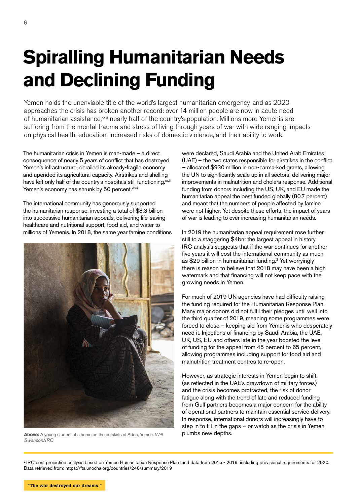# **Spiralling Humanitarian Needs and Declining Funding**

Yemen holds the unenviable title of the world's largest humanitarian emergency, and as 2020 approaches the crisis has broken another record: over 14 million people are now in acute need of humanitarian assistance, xxvi nearly half of the country's population. Millions more Yemenis are suffering from the mental trauma and stress of living through years of war with wide ranging impacts on physical health, education, increased risks of domestic violence, and their ability to work.

The humanitarian crisis in Yemen is man-made – a direct consequence of nearly 5 years of conflict that has destroyed Yemen's infrastructure, derailed its already-fragile economy and upended its agricultural capacity. Airstrikes and shelling have left only half of the country's hospitals still functioning.<sup>xxvii</sup> Yemen's economy has shrunk by 50 percent.<sup>xxviii</sup>

The international community has generously supported the humanitarian response, investing a total of \$8.3 billion into successive humanitarian appeals, delivering life-saving healthcare and nutritional support, food aid, and water to millions of Yemenis. In 2018, the same year famine conditions



Above: A young student at a home on the outskirts of Aden, Yemen. *Will* **plumbs new depths.** *Swanson/IRC*

were declared, Saudi Arabia and the United Arab Emirates (UAE) – the two states responsible for airstrikes in the conflict – allocated \$930 million in non-earmarked grants, allowing the UN to significantly scale up in all sectors, delivering major improvements in malnutrition and cholera response. Additional funding from donors including the US, UK, and EU made the humanitarian appeal the best funded globally (80.7 percent) and meant that the numbers of people affected by famine were not higher. Yet despite these efforts, the impact of years of war is leading to ever increasing humanitarian needs.

In 2019 the humanitarian appeal requirement rose further still to a staggering \$4bn: the largest appeal in history. IRC analysis suggests that if the war continues for another five years it will cost the international community as much as \$29 billion in humanitarian funding.<sup>2</sup> Yet worryingly there is reason to believe that 2018 may have been a high watermark and that financing will not keep pace with the growing needs in Yemen.

For much of 2019 UN agencies have had difficulty raising the funding required for the Humanitarian Response Plan. Many major donors did not fulfil their pledges until well into the third quarter of 2019, meaning some programmes were forced to close – keeping aid from Yemenis who desperately need it. Injections of financing by Saudi Arabia, the UAE, UK, US, EU and others late in the year boosted the level of funding for the appeal from 45 percent to 65 percent, allowing programmes including support for food aid and malnutrition treatment centres to re-open.

However, as strategic interests in Yemen begin to shift (as reflected in the UAE's drawdown of military forces) and the crisis becomes protracted, the risk of donor fatigue along with the trend of late and reduced funding from Gulf partners becomes a major concern for the ability of operational partners to maintain essential service delivery. In response, international donors will increasingly have to step in to fill in the gaps – or watch as the crisis in Yemen

2 IRC cost projection analysis based on Yemen Humanitarian Response Plan fund data from 2015 - 2019, including provisional requirements for 2020. Data retrieved from: https://fts.unocha.org/countries/248/summary/2019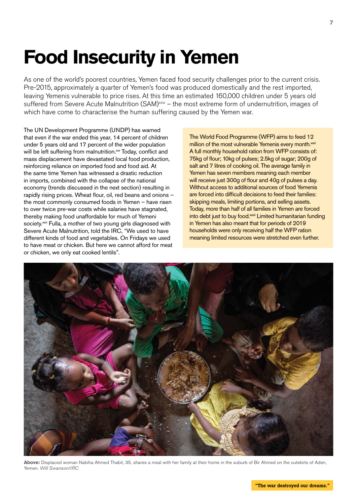### **Food Insecurity in Yemen**

As one of the world's poorest countries, Yemen faced food security challenges prior to the current crisis. Pre-2015, approximately a quarter of Yemen's food was produced domestically and the rest imported, leaving Yemenis vulnerable to price rises. At this time an estimated 160,000 children under 5 years old suffered from Severe Acute Malnutrition (SAM)<sup>xxix</sup> – the most extreme form of undernutrition, images of which have come to characterise the human suffering caused by the Yemen war.

The UN Development Programme (UNDP) has warned that even if the war ended this year, 14 percent of children under 5 years old and 17 percent of the wider population will be left suffering from malnutrition.<sup>xx</sup> Today, conflict and mass displacement have devastated local food production, reinforcing reliance on imported food and food aid. At the same time Yemen has witnessed a drastic reduction in imports, combined with the collapse of the national economy (trends discussed in the next section) resulting in rapidly rising prices. Wheat flour, oil, red beans and onions – the most commonly consumed foods in Yemen – have risen to over twice pre-war costs while salaries have stagnated, thereby making food unaffordable for much of Yemeni society.<sup>xxxi</sup> Fulla, a mother of two young girls diagnosed with Severe Acute Malnutrition, told the IRC, "We used to have different kinds of food and vegetables. On Fridays we used to have meat or chicken. But here we cannot afford for meat or chicken, we only eat cooked lentils".

The World Food Programme (WFP) aims to feed 12 million of the most vulnerable Yemenis every month.<sup>xxxii</sup> A full monthly household ration from WFP consists of: 75kg of flour; 10kg of pulses; 2.5kg of sugar; 200g of salt and 7 litres of cooking oil. The average family in Yemen has seven members meaning each member will receive just 300g of flour and 40g of pulses a day. Without access to additional sources of food Yemenis are forced into difficult decisions to feed their families: skipping meals, limiting portions, and selling assets. Today, more than half of all families in Yemen are forced into debt just to buy food.<sup>xxiii</sup> Limited humanitarian funding in Yemen has also meant that for periods of 2019 households were only receiving half the WFP ration meaning limited resources were stretched even further.



**Above:** Displaced woman Nabiha Ahmed Thabit, 35, shares a meal with her family at their home in the suburb of Bir Ahmed on the outskirts of Aden, Yemen. *Will Swanson/IRC*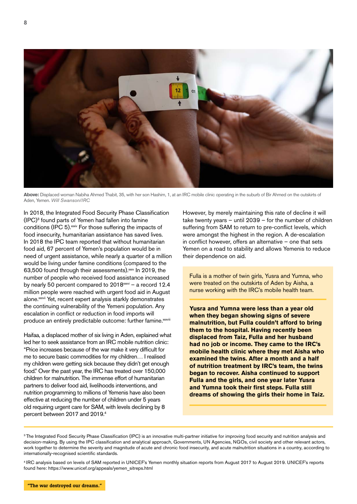

**8**



**Above:** Displaced woman Nabiha Ahmed Thabit, 35, with her son Hashim, 1, at an IRC mobile clinic operating in the suburb of Bir Ahmed on the outskirts of Aden, Yemen. *Will Swanson/IRC*

In 2018, the Integrated Food Security Phase Classification (IPC)3 found parts of Yemen had fallen into famine conditions (IPC 5).<sup>xxxiv</sup> For those suffering the impacts of food insecurity, humanitarian assistance has saved lives. In 2018 the IPC team reported that without humanitarian food aid, 67 percent of Yemen's population would be in need of urgent assistance, while nearly a quarter of a million would be living under famine conditions (compared to the 63,500 found through their assessments).<sup>xxv</sup> In 2019, the number of people who received food assistance increased by nearly 50 percent compared to  $2018^{\text{xxxi}}$  – a record 12.4 million people were reached with urgent food aid in August alone.<sup>xxxvii</sup> Yet, recent expert analysis starkly demonstrates the continuing vulnerability of the Yemeni population. Any escalation in conflict or reduction in food imports will produce an entirely predictable outcome: further famine.xxxviii

Haifaa, a displaced mother of six living in Aden, explained what led her to seek assistance from an IRC mobile nutrition clinic: "Price increases because of the war make it very difficult for me to secure basic commodities for my children… I realised my children were getting sick because they didn't get enough food." Over the past year, the IRC has treated over 150,000 children for malnutrition. The immense effort of humanitarian partners to deliver food aid, livelihoods interventions, and nutrition programming to millions of Yemenis have also been effective at reducing the number of children under 5 years old requiring urgent care for SAM, with levels declining by 8 percent between 2017 and 2019.<sup>4</sup>

However, by merely maintaining this rate of decline it will take twenty years – until 2039 – for the number of children suffering from SAM to return to pre-conflict levels, which were amongst the highest in the region. A de-escalation in conflict however, offers an alternative – one that sets Yemen on a road to stability and allows Yemenis to reduce their dependence on aid.

Fulla is a mother of twin girls, Yusra and Yumna, who were treated on the outskirts of Aden by Aisha, a nurse working with the IRC's mobile health team.

**Yusra and Yumna were less than a year old when they began showing signs of severe malnutrition, but Fulla couldn't afford to bring them to the hospital. Having recently been displaced from Taiz, Fulla and her husband had no job or income. They came to the IRC's mobile health clinic where they met Aisha who examined the twins. After a month and a half of nutrition treatment by IRC's team, the twins began to recover. Aisha continued to support Fulla and the girls, and one year later Yusra and Yumna took their first steps. Fulla still dreams of showing the girls their home in Taiz.**

4 IRC analysis based on levels of SAM reported in UNICEF's Yemen monthly situation reports from August 2017 to August 2019. UNICEF's reports found here: https://www.unicef.org/appeals/yemen\_sitreps.html

<sup>&</sup>lt;sup>3</sup> The Integrated Food Security Phase Classification (IPC) is an innovative multi-partner initiative for improving food security and nutrition analysis and decision-making. By using the IPC classification and analytical approach, Governments, UN Agencies, NGOs, civil society and other relevant actors, work together to determine the severity and magnitude of acute and chronic food insecurity, and acute malnutrition situations in a country, according to internationally-recognised scientific standards.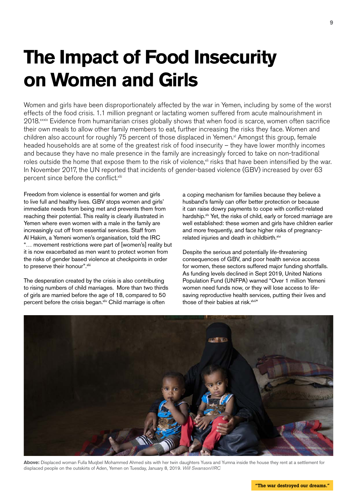# **The Impact of Food Insecurity on Women and Girls**

Women and girls have been disproportionately affected by the war in Yemen, including by some of the worst effects of the food crisis. 1.1 million pregnant or lactating women suffered from acute malnourishment in 2018.<sup>xxxix</sup> Evidence from humanitarian crises globally shows that when food is scarce, women often sacrifice their own meals to allow other family members to eat, further increasing the risks they face. Women and children also account for roughly 75 percent of those displaced in Yemen.<sup>xl</sup> Amongst this group, female headed households are at some of the greatest risk of food insecurity – they have lower monthly incomes and because they have no male presence in the family are increasingly forced to take on non-traditional roles outside the home that expose them to the risk of violence, in risks that have been intensified by the war. In November 2017, the UN reported that incidents of gender-based violence (GBV) increased by over 63 percent since before the conflict.<sup>xlii</sup>

Freedom from violence is essential for women and girls to live full and healthy lives. GBV stops women and girls' immediate needs from being met and prevents them from reaching their potential. This reality is clearly illustrated in Yemen where even women with a male in the family are increasingly cut off from essential services. Staff from Al Hakim, a Yemeni women's organisation, told the IRC "… movement restrictions were part of [women's] reality but it is now exacerbated as men want to protect women from the risks of gender based violence at checkpoints in order to preserve their honour". xliii

The desperation created by the crisis is also contributing to rising numbers of child marriages. More than two thirds of girls are married before the age of 18, compared to 50 percent before the crisis began. xliv Child marriage is often

a coping mechanism for families because they believe a husband's family can offer better protection or because it can raise dowry payments to cope with conflict-related hardship.<sup>xlv</sup> Yet, the risks of child, early or forced marriage are well established: these women and girls have children earlier and more frequently, and face higher risks of pregnancyrelated injuries and death in childbirth.<sup>xlvi</sup>

Despite the serious and potentially life-threatening consequences of GBV, and poor health service access for women, these sectors suffered major funding shortfalls. As funding levels declined in Sept 2019, United Nations Population Fund (UNFPA) warned "Over 1 million Yemeni women need funds now, or they will lose access to lifesaving reproductive health services, putting their lives and those of their babies at risk.xlvii"



**Above:** Displaced woman Fulla Muqbel Mohammed Ahmed sits with her twin daughters Yusra and Yumna inside the house they rent at a settlement for displaced people on the outskirts of Aden, Yemen on Tuesday, January 8, 2019. *Will Swanson/IRC*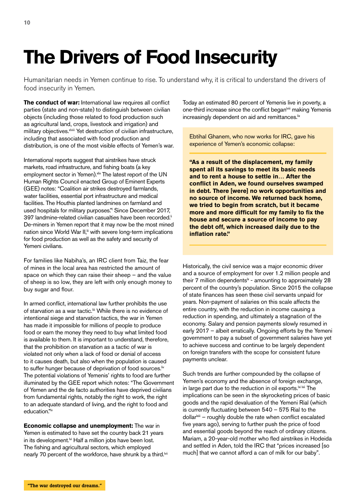## **The Drivers of Food Insecurity**

Humanitarian needs in Yemen continue to rise. To understand why, it is critical to understand the drivers of food insecurity in Yemen.

**The conduct of war:** International law requires all conflict parties (state and non-state) to distinguish between civilian objects (including those related to food production such as agricultural land, crops, livestock and irrigation) and military objectives.<sup>xlviii</sup> Yet destruction of civilian infrastructure, including that associated with food production and distribution, is one of the most visible effects of Yemen's war.

International reports suggest that airstrikes have struck markets, road infrastructure, and fishing boats (a key employment sector in Yemen). xlix The latest report of the UN Human Rights Council enacted Group of Eminent Experts (GEE) notes: "Coalition air strikes destroyed farmlands, water facilities, essential port infrastructure and medical facilities. The Houthis planted landmines on farmland and used hospitals for military purposes." Since December 2017, 397 landmine-related civilian casualties have been recorded.<sup>ii</sup> De-miners in Yemen report that it may now be the most mined nation since World War II,<sup>ii</sup> with severe long-term implications for food production as well as the safety and security of Yemeni civilians.

For families like Nabiha's, an IRC client from Taiz, the fear of mines in the local area has restricted the amount of space on which they can raise their sheep – and the value of sheep is so low, they are left with only enough money to buy sugar and flour.

In armed conflict, international law further prohibits the use of starvation as a war tactic.<sup>[iii</sup> While there is no evidence of intentional siege and starvation tactics, the war in Yemen has made it impossible for millions of people to produce food or earn the money they need to buy what limited food is available to them. It is important to understand, therefore, that the prohibition on starvation as a tactic of war is violated not only when a lack of food or denial of access to it causes death, but also when the population is caused to suffer hunger because of deprivation of food sources.<sup>liv</sup> The potential violations of Yemenis' rights to food are further illuminated by the GEE report which notes: "The Government of Yemen and the de facto authorities have deprived civilians from fundamental rights, notably the right to work, the right to an adequate standard of living, and the right to food and education."lv

**Economic collapse and unemployment:** The war in Yemen is estimated to have set the country back 21 years in its development.<sup>M</sup> Half a million jobs have been lost. The fishing and agricultural sectors, which employed nearly 70 percent of the workforce, have shrunk by a third.<sup>Ivii</sup>

Today an estimated 80 percent of Yemenis live in poverty, a one-third increase since the conflict began<sup>lviii</sup> making Yemenis increasingly dependent on aid and remittances.<sup>lix</sup>

Ebtihal Ghanem, who now works for IRC, gave his experience of Yemen's economic collapse:

**"As a result of the displacement, my family spent all its savings to meet its basic needs and to rent a house to settle in… After the conflict in Aden, we found ourselves swamped in debt. There [were] no work opportunities and no source of income. We returned back home, we tried to begin from scratch, but it became more and more difficult for my family to fix the house and secure a source of income to pay the debt off, which increased daily due to the inflation rate."** 

Historically, the civil service was a major economic driver and a source of employment for over 1.2 million people and their 7 million dependents $k -$  amounting to approximately 28 percent of the country's population. Since 2015 the collapse of state finances has seen these civil servants unpaid for years. Non-payment of salaries on this scale affects the entire country, with the reduction in income causing a reduction in spending, and ultimately a stagnation of the economy. Salary and pension payments slowly resumed in early 2017 – albeit erratically. Ongoing efforts by the Yemeni government to pay a subset of government salaries have yet to achieve success and continue to be largely dependent on foreign transfers with the scope for consistent future payments unclear.

Such trends are further compounded by the collapse of Yemen's economy and the absence of foreign exchange, in large part due to the reduction in oil exports.<sup>ki kii</sup> The implications can be seen in the skyrocketing prices of basic goods and the rapid devaluation of the Yemeni Rial (which is currently fluctuating between 540 – 575 Rial to the dollar<sup>lxiii</sup> – roughly double the rate when conflict escalated five years ago), serving to further push the price of food and essential goods beyond the reach of ordinary citizens. Mariam, a 20-year-old mother who fled airstrikes in Hodeida and settled in Aden, told the IRC that "prices increased [so much] that we cannot afford a can of milk for our baby".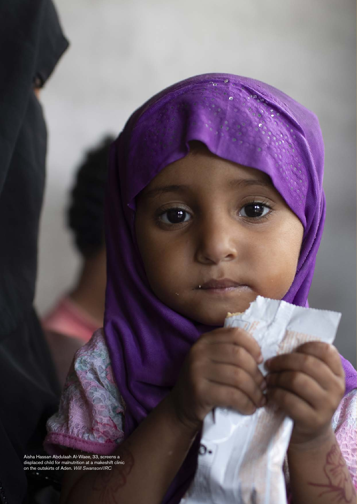Aisha Hassan Abdulaah Al-Waee, 33, screens a displaced child for malnutrition at a makeshift clinic on the outskirts of Aden. *Will Swanson/IRC*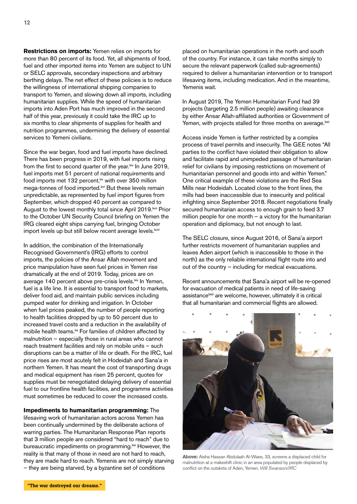**12**

**Restrictions on imports:** Yemen relies on imports for more than 80 percent of its food. Yet, all shipments of food, fuel and other imported items into Yemen are subject to UN or SELC approvals, secondary inspections and arbitrary berthing delays. The net effect of these policies is to reduce the willingness of international shipping companies to transport to Yemen, and slowing down all imports, including humanitarian supplies. While the speed of humanitarian imports into Aden Port has much improved in the second half of this year, previously it could take the IRC up to six months to clear shipments of supplies for health and nutrition programmes, undermining the delivery of essential services to Yemeni civilians.

Since the war began, food and fuel imports have declined. There has been progress in 2019, with fuel imports rising from the first to second quarter of the year.<sup>kiv</sup> In June 2019, fuel imports met 51 percent of national requirements and food imports met 132 percent, with over 350 million mega-tonnes of food imported.<sup>|xvi</sup> But these levels remain unpredictable, as represented by fuel import figures from September, which dropped 40 percent as compared to August to the lowest monthly total since April 2019. Kyii Prior to the October UN Security Council briefing on Yemen the IRG cleared eight ships carrying fuel, bringing October import levels up but still below recent average levels. Ixviii

In addition, the combination of the Internationally Recognised Government's (IRG) efforts to control imports, the policies of the Ansar Allah movement and price manipulation have seen fuel prices in Yemen rise dramatically at the end of 2019. Today, prices are on average 140 percent above pre-crisis levels.<sup>Ixix</sup> In Yemen, fuel is a life line. It is essential to transport food to markets, deliver food aid, and maintain public services including pumped water for drinking and irrigation. In October when fuel prices peaked, the number of people reporting to health facilities dropped by up to 50 percent due to increased travel costs and a reduction in the availability of mobile health teams.<sup>1xx</sup> For families of children affected by malnutrition – especially those in rural areas who cannot reach treatment facilities and rely on mobile units – such disruptions can be a matter of life or death. For the IRC, fuel price rises are most acutely felt in Hodeidah and Sana'a in northern Yemen. It has meant the cost of transporting drugs and medical equipment has risen 25 percent, quotes for supplies must be renegotiated delaying delivery of essential fuel to our frontline health facilities, and programme activities must sometimes be reduced to cover the increased costs.

**Impediments to humanitarian programming:** The lifesaving work of humanitarian actors across Yemen has been continually undermined by the deliberate actions of warring parties. The Humanitarian Response Plan reports that 3 million people are considered "hard to reach" due to bureaucratic impediments on programming.<sup>Ixxi</sup> However, the reality is that many of those in need are not hard to reach, they are made hard to reach. Yemenis are not simply starving – they are being starved, by a byzantine set of conditions

placed on humanitarian operations in the north and south of the country. For instance, it can take months simply to secure the relevant paperwork (called sub-agreements) required to deliver a humanitarian intervention or to transport lifesaving items, including medication. And in the meantime, Yemenis wait.

In August 2019, The Yemen Humanitarian Fund had 39 projects (targeting 2.5 million people) awaiting clearance by either Ansar Allah-affiliated authorities or Government of Yemen, with projects stalled for three months on average.<sup>Ixxii</sup>

Access inside Yemen is further restricted by a complex process of travel permits and insecurity. The GEE notes "All parties to the conflict have violated their obligation to allow and facilitate rapid and unimpeded passage of humanitarian relief for civilians by imposing restrictions on movement of humanitarian personnel and goods into and within Yemen." One critical example of these violations are the Red Sea Mills near Hodeidah. Located close to the front lines, the mills had been inaccessible due to insecurity and political infighting since September 2018. Recent negotiations finally secured humanitarian access to enough grain to feed 3.7 million people for one month – a victory for the humanitarian operation and diplomacy, but not enough to last.

The SELC closure, since August 2016, of Sana'a airport further restricts movement of humanitarian supplies and leaves Aden airport (which is inaccessible to those in the north) as the only reliable international flight route into and out of the country – including for medical evacuations.

Recent announcements that Sana'a airport will be re-opened for evacuation of medical patients in need of life-saving assistance<sup>lxxiii</sup> are welcome, however, ultimately it is critical that all humanitarian and commercial flights are allowed.



**Above:** Aisha Hassan Abdulaah Al-Waee, 33, screens a displaced child for malnutrition at a makeshift clinic in an area populated by people displaced by conflict on the outskirts of Aden, Yemen. *Will Swanson/IRC*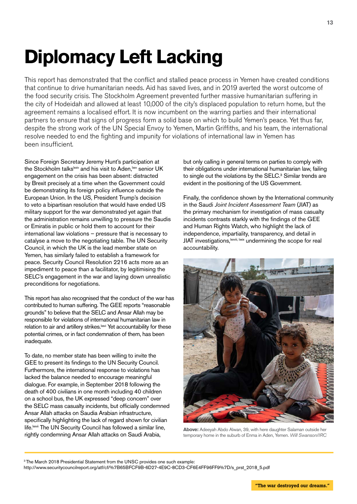# **Diplomacy Left Lacking**

This report has demonstrated that the conflict and stalled peace process in Yemen have created conditions that continue to drive humanitarian needs. Aid has saved lives, and in 2019 averted the worst outcome of the food security crisis. The Stockholm Agreement prevented further massive humanitarian suffering in the city of Hodeidah and allowed at least 10,000 of the city's displaced population to return home, but the agreement remains a localised effort. It is now incumbent on the warring parties and their international partners to ensure that signs of progress form a solid base on which to build Yemen's peace. Yet thus far, despite the strong work of the UN Special Envoy to Yemen, Martin Griffiths, and his team, the international resolve needed to end the fighting and impunity for violations of international law in Yemen has been insufficient.

Since Foreign Secretary Jeremy Hunt's participation at the Stockholm talks<sup>lxxiv</sup> and his visit to Aden,<sup>lxxv</sup> senior UK engagement on the crisis has been absent: distracted by Brexit precisely at a time when the Government could be demonstrating its foreign policy influence outside the European Union. In the US, President Trump's decision to veto a bipartisan resolution that would have ended US military support for the war demonstrated yet again that the administration remains unwilling to pressure the Saudis or Emiratis in public or hold them to account for their international law violations – pressure that is necessary to catalyse a move to the negotiating table. The UN Security Council, in which the UK is the lead member state on Yemen, has similarly failed to establish a framework for peace. Security Council Resolution 2216 acts more as an impediment to peace than a facilitator, by legitimising the SELC's engagement in the war and laying down unrealistic preconditions for negotiations.

This report has also recognised that the conduct of the war has contributed to human suffering. The GEE reports "reasonable grounds" to believe that the SELC and Ansar Allah may be responsible for violations of international humanitarian law in relation to air and artillery strikes.<sup>Ixxvi</sup> Yet accountability for these potential crimes, or in fact condemnation of them, has been inadequate.

To date, no member state has been willing to invite the GEE to present its findings to the UN Security Council. Furthermore, the international response to violations has lacked the balance needed to encourage meaningful dialogue. For example, in September 2018 following the death of 400 civilians in one month including 40 children on a school bus, the UK expressed "deep concern" over the SELC mass casualty incidents, but officially condemned Ansar Allah attacks on Saudia Arabian infrastructure, specifically highlighting the lack of regard shown for civilian life.<sup>Ixxvii</sup> The UN Security Council has followed a similar line, rightly condemning Ansar Allah attacks on Saudi Arabia,

but only calling in general terms on parties to comply with their obligations under international humanitarian law, failing to single out the violations by the SELC.<sup>3</sup> Similar trends are evident in the positioning of the US Government.

Finally, the confidence shown by the International community in the Saudi *Joint Incident Assessment Team* (JIAT) as the primary mechanism for investigation of mass casualty incidents contrasts starkly with the findings of the GEE and Human Rights Watch, who highlight the lack of independence, impartiality, transparency, and detail in JIAT investigations, bxxviii, lxxix undermining the scope for real accountability.



**Above:** Adeeyah Abdo Alwan, 39, with here daughter Salaman outside her temporary home in the suburb of Enma in Aden, Yemen. *Will Swanson/IRC*

<sup>3</sup> The March 2018 Presidential Statement from the UNSC provides one such example: http://www.securitycouncilreport.org/atf/cf/%7B65BFCF9B-6D27-4E9C-8CD3-CF6E4FF96FF9%7D/s\_prst\_2018\_5.pdf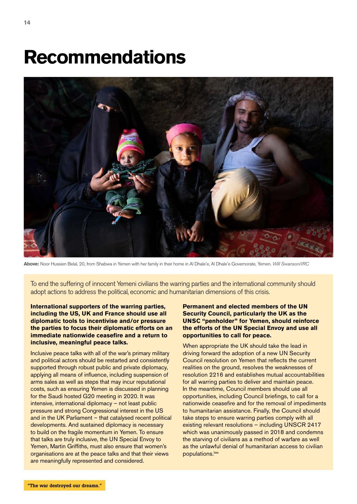### **Recommendations**



**Above:** Noor Hussien Belal, 20, from Shabwa in Yemen with her family in their home in Al Dhale'e, Al Dhale'e Governorate, Yemen. *Will Swanson/IRC*

To end the suffering of innocent Yemeni civilians the warring parties and the international community should adopt actions to address the political, economic and humanitarian dimensions of this crisis.

**International supporters of the warring parties, including the US, UK and France should use all diplomatic tools to incentivise and/or pressure the parties to focus their diplomatic efforts on an immediate nationwide ceasefire and a return to inclusive, meaningful peace talks.**

Inclusive peace talks with all of the war's primary military and political actors should be restarted and consistently supported through robust public and private diplomacy, applying all means of influence, including suspension of arms sales as well as steps that may incur reputational costs, such as ensuring Yemen is discussed in planning for the Saudi hosted G20 meeting in 2020. It was intensive, international diplomacy – not least public pressure and strong Congressional interest in the US and in the UK Parliament – that catalysed recent political developments. And sustained diplomacy is necessary to build on the fragile momentum in Yemen. To ensure that talks are truly inclusive, the UN Special Envoy to Yemen, Martin Griffiths, must also ensure that women's organisations are at the peace talks and that their views are meaningfully represented and considered.

#### **Permanent and elected members of the UN Security Council, particularly the UK as the UNSC "penholder" for Yemen, should reinforce the efforts of the UN Special Envoy and use all opportunities to call for peace.**

When appropriate the UK should take the lead in driving forward the adoption of a new UN Security Council resolution on Yemen that reflects the current realities on the ground, resolves the weaknesses of resolution 2216 and establishes mutual accountabilities for all warring parties to deliver and maintain peace. In the meantime, Council members should use all opportunities, including Council briefings, to call for a nationwide ceasefire and for the removal of impediments to humanitarian assistance. Finally, the Council should take steps to ensure warring parties comply with all existing relevant resolutions – including UNSCR 2417 which was unanimously passed in 2018 and condemns the starving of civilians as a method of warfare as well as the unlawful denial of humanitarian access to civilian populations.<sup>Ixxx</sup>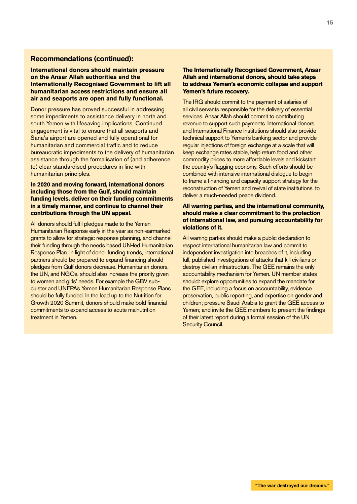#### **Recommendations (continued):**

#### **International donors should maintain pressure on the Ansar Allah authorities and the Internationally Recognised Government to lift all humanitarian access restrictions and ensure all air and seaports are open and fully functional.**

Donor pressure has proved successful in addressing some impediments to assistance delivery in north and south Yemen with lifesaving implications. Continued engagement is vital to ensure that all seaports and Sana'a airport are opened and fully operational for humanitarian and commercial traffic and to reduce bureaucratic impediments to the delivery of humanitarian assistance through the formalisation of (and adherence to) clear standardised procedures in line with humanitarian principles.

#### **In 2020 and moving forward, international donors including those from the Gulf, should maintain funding levels, deliver on their funding commitments in a timely manner, and continue to channel their contributions through the UN appeal.**

All donors should fulfil pledges made to the Yemen Humanitarian Response early in the year as non-earmarked grants to allow for strategic response planning, and channel their funding through the needs based UN-led Humanitarian Response Plan. In light of donor funding trends, international partners should be prepared to expand financing should pledges from Gulf donors decrease. Humanitarian donors, the UN, and NGOs, should also increase the priority given to women and girls' needs. For example the GBV subcluster and UNFPA's Yemen Humanitarian Response Plans should be fully funded. In the lead up to the Nutrition for Growth 2020 Summit, donors should make bold financial commitments to expand access to acute malnutrition treatment in Yemen.

#### **The Internationally Recognised Government, Ansar Allah and international donors, should take steps to address Yemen's economic collapse and support Yemen's future recovery.**

The IRG should commit to the payment of salaries of all civil servants responsible for the delivery of essential services. Ansar Allah should commit to contributing revenue to support such payments. International donors and International Finance Institutions should also provide technical support to Yemen's banking sector and provide regular injections of foreign exchange at a scale that will keep exchange rates stable, help return food and other commodity prices to more affordable levels and kickstart the country's flagging economy. Such efforts should be combined with intensive international dialogue to begin to frame a financing and capacity support strategy for the reconstruction of Yemen and revival of state institutions, to deliver a much-needed peace dividend.

#### **All warring parties, and the international community, should make a clear commitment to the protection of international law, and pursuing accountability for violations of it.**

All warring parties should make a public declaration to respect international humanitarian law and commit to independent investigation into breaches of it, including full, published investigations of attacks that kill civilians or destroy civilian infrastructure. The GEE remains the only accountability mechanism for Yemen. UN member states should: explore opportunities to expand the mandate for the GEE, including a focus on accountability, evidence preservation, public reporting, and expertise on gender and children; pressure Saudi Arabia to grant the GEE access to Yemen; and invite the GEE members to present the findings of their latest report during a formal session of the UN Security Council.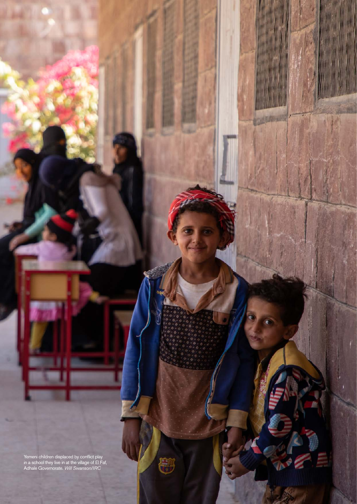Yemeni children displaced by conflict play in a school they live in at the village of El Faf, Adhale Governorate. *Will Swanson/IRC*

**AD**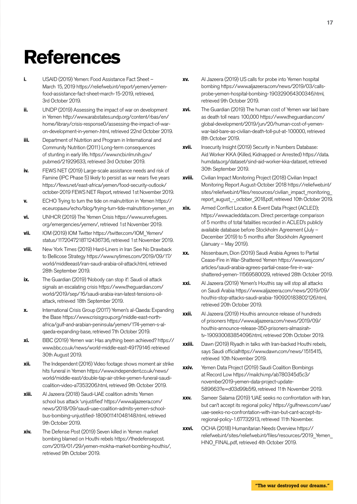### **References**

- **i.** USAID (2019) Yemen: Food Assistance Fact Sheet March 15, 2019 https://reliefweb.int/report/yemen/yemenfood-assistance-fact-sheet-march-15-2019, retrieved, 3rd October 2019.
- **ii.** UNDP (2019) Assessing the impact of war on development in Yemen http://www.arabstates.undp.org/content/rbas/en/ home/library/crisis-response0/assessing-the-impact-of-waron-development-in-yemen-.html, retrieved 22nd October 2019.
- **iii.** Department of Nutrition and Program in International and Community Nutrition (2011) Long-term consequences of stunting in early life. https://www.ncbi.nlm.nih.gov/ pubmed/21929633, retrieved 3rd October 2019.
- **iv.** FEWS NET (2019) Large-scale assistance needs and risk of Famine (IPC Phase 5) likely to persist as war nears five years https://fews.net/east-africa/yemen/food-security-outlook/ october-2019 FEWS NET Report, retrieved 1st November 2019.
- **v.** ECHO Trying to turn the tide on malnutrition in Yemen https:// ec.europa.eu/echo/blog/trying-turn-tide-malnutrition-yemen\_en
- **vi.** UNHCR (2019) The Yemen Crisis https://www.unrefugees. org/emergencies/yemen/, retrieved 1st November 2019.
- **vii.** IOM (2019) IOM Twitter https://twitter.com/IOM\_Yemen/ status/1172047218712436736, retrieved 1st November 2019.
- **viii.** New York Times (2019) Hard-Liners in Iran See No Drawback to Bellicose Strategy https://www.nytimes.com/2019/09/17/ world/middleeast/iran-saudi-arabia-oil-attack.html, retrieved 28th September 2019.
- **ix.** The Guardian (2019) 'Nobody can stop it': Saudi oil attack signals an escalating crisis https://www.theguardian.com/ world/2019/sep/16/saudi-arabia-iran-latest-tensions-oilattack, retrieved 18th September 2019.
- **x.** International Crisis Group (2017) Yemen's al-Qaeda: Expanding the Base https://www.crisisgroup.org/middle-east-northafrica/gulf-and-arabian-peninsula/yemen/174-yemen-s-alqaeda-expanding-base, retrieved 7th October 2019.
- **xi.** BBC (2019) Yemen war: Has anything been achieved? https:// www.bbc.co.uk/news/world-middle-east-49179146 retrieved 30th August 2019.
- **xii.** The Independent (2016) Video footage shows moment air strike hits funeral in Yemen https://www.independent.co.uk/news/ world/middle-east/double-tap-air-strike-yemen-funeral-saudicoalition-video-a7353206.html, retrieved 9th October 2019.
- **xiii.** Al Jazeera (2018) Saudi-UAE coalition admits Yemen school bus attack 'unjustified' https://www.aljazeera.com/ news/2018/09/saudi-uae-coalition-admits-yemen-schoolbus-bombing-unjustified-180901141048148.html, retrieved 9th October 2019.
- **xiv.** The Defense Post (2019) Seven killed in Yemen market bombing blamed on Houthi rebels https://thedefensepost. com/2019/01/29/yemen-mokha-market-bombing-houthis/, retrieved 9th October 2019.
- **xv.** Al Jazeera (2019) US calls for probe into Yemen hospital bombing https://www.aljazeera.com/news/2019/03/callsprobe-yemen-hospital-bombing-190329064300346.html, retrieved 9th October 2019.
- **xvi.** The Guardian (2019) The human cost of Yemen war laid bare as death toll nears 100,000 https://www.theguardian.com/ global-development/2019/jun/20/human-cost-of-yemenwar-laid-bare-as-civilian-death-toll-put-at-100000, retrieved 8th October 2019.
- **xvii.** Insecurity Insight (2019) Security in Numbers Database: Aid Worker KKA (Killed, Kidnapped or Arrested) https://data. humdata.org/dataset/sind-aid-worker-kka-dataset, retrieved 30th September 2019.
- **xviii.** Civilian Impact Monitoring Project (2018) Civilian Impact Monitoring Report August-October 2018 https://reliefweb.int/ sites/reliefweb.int/files/resources/civilian\_impact\_monitoring report august - october 2018.pdf, retrieved 10th October 2019.
- **xix.** Armed Conflict Location & Event Data Project (ACLED); https://www.acleddata.com. Direct percentage comparison of 5 months of total fatalities recorded in ACLED's publicly available database before Stockholm Agreement (July – December 2019) to 5 months after Stockholm Agreement (January – May 2019).
- **xx.** Nissenbaum, Dion (2019) Saudi Arabia Agrees to Partial Cease-Fire in War-Shattered Yemen https://www.wsj.com/ articles/saudi-arabia-agrees-partial-cease-fire-in-warshattered-yemen-11569580029, retrieved 28th October 2019.
- **xxi.** Al Jazeera (2019) Yemen's Houthis say will stop all attacks on Saudi Arabia https://www.aljazeera.com/news/2019/09/ houthis-stop-attacks-saudi-arabia-190920183802126.html, retrieved 20th October 2019.
- **xxii.** Al Jazeera (2019) Houthis announce release of hundreds of prisoners https://www.aljazeera.com/news/2019/09/ houthis-announce-release-350-prisoners-almasirahtv-190930083854096.html, retrieved 20th October 2019.
- **xxiii.** Dawn (2019) Riyadh in talks with Iran-backed Houthi rebels, says Saudi officialhttps://www.dawn.com/news/1515415, retrieved 10th November 2019.
- **xxiv.** Yemen Data Project (2019) Saudi Coalition Bombings at Record Low https://mailchi.mp/ab780345d5c3/ november2019-yemen-data-project-update-589663?e=d03d99b5f9, retrieved 11th November 2019.
- **xxv.** Sameer Salama (2019) 'UAE seeks no confrontation with Iran, but can't accept its regional policy' https://gulfnews.com/uae/ uae-seeks-no-confrontation-with-iran-but-cant-accept-itsregional-policy-1.67732913, retrieved 11th November.
- **xxvi.** OCHA (2018) Humanitarian Needs Overview https:// reliefweb.int/sites/reliefweb.int/files/resources/2019\_Yemen\_ HNO\_FINAL.pdf, retrieved 4th October 2019.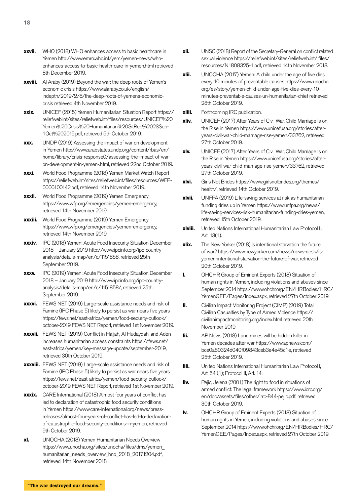- **xxvii.** WHO (2018) WHO enhances access to basic healthcare in Yemen http://www.emro.who.int/yem/yemen-news/whoenhances-access-to-basic-health-care-in-yemen.html retrieved 8th December 2019.
- **xxviii.** Al Araby (2019) Beyond the war: the deep roots of Yemen's economic crisis https://www.alaraby.co.uk/english/ indepth/2019/2/8/the-deep-roots-of-yemens-economiccrisis retrieved 4th November 2019.
- **xxix.** UNICEF (2015) Yemen Humanitarian Situation Report https:// reliefweb.int/sites/reliefweb.int/files/resources/UNICEF%20 Yemen%20Crisis%20Humanitarian%20SitRep%2023Sep-1Oct%202015.pdf, retrieved 5th October 2019.
- **xxx.** UNDP (2019) Assessing the impact of war on development in Yemen http://www.arabstates.undp.org/content/rbas/en/ home/library/crisis-response0/assessing-the-impact-of-waron-development-in-yemen-.html, retrieved 22nd October 2019.
- **xxxi.** World Food Programme (2018) Yemen Market Watch Report https://reliefweb.int/sites/reliefweb.int/files/resources/WFP-0000100142.pdf, retrieved 14th November 2019.
- **xxxii.** World Food Programme (2019) Yemen Emergency https://www.wfp.org/emergencies/yemen-emergency, retrieved 14th November 2019.
- **xxxiii.** World Food Programme (2019) Yemen Emergency https://www.wfp.org/emergencies/yemen-emergency, retrieved 14th November 2019.
- **xxxiv.** IPC (2018) Yemen: Acute Food Insecurity Situation December 2018 – January 2019 http://www.ipcinfo.org/ipc-countryanalysis/details-map/en/c/1151858, retrieved 25th September 2019.
- **xxxv.** IPC (2019) Yemen: Acute Food Insecurity Situation December 2018 – January 2019 http://www.ipcinfo.org/ipc-countryanalysis/details-map/en/c/1151858/, retrieved 25th September 2019.
- **xxxvi.** FEWS NET (2019) Large-scale assistance needs and risk of Famine (IPC Phase 5) likely to persist as war nears five years https://fews.net/east-africa/yemen/food-security-outlook/ october-2019 FEWS NET Report, retrieved 1st November 2019.
- **xxxvii.** FEWS NET (2019) Conflict in Hajjah, Al Hudaydah, and Aden increases humanitarian access constraints https://fews.net/ east-africa/yemen/key-message-update/september-2019, retrieved 30th October 2019.
- **xxxviii.** FEWS NET (2019) Large-scale assistance needs and risk of Famine (IPC Phase 5) likely to persist as war nears five years https://fews.net/east-africa/yemen/food-security-outlook/ october-2019 FEWS NET Report, retrieved 1st November 2019.
- **xxxix.** CARE International (2018) Almost four years of conflict has led to declaration of catastrophic food security conditions in Yemen https://www.care-international.org/news/pressreleases/almost-four-years-of-conflict-has-led-to-declarationof-catastrophic-food-security-conditions-in-yemen, retrieved 9th October 2019.
- **xl.** UNOCHA (2018) Yemen Humanitarian Needs Overview https://www.unocha.org/sites/unocha/files/dms/yemen\_ humanitarian\_needs\_overview\_hno\_2018\_20171204.pdf, retrieved 14th November 2018.
- **xli.** UNSC (2018) Report of the Secretary-General on conflict related sexual violence https://reliefweb.int/sites/reliefweb.int/ files/ resources/N1808325-1.pdf, retrieved 14th November 2018.
- **xlii.** UNOCHA (2017) Yemen: A child under the age of five dies every 10 minutes of preventable causes https://www.unocha. org/es/story/yemen-child-under-age-five-dies-every-10 minutes-preventable-causes-un-humanitarian-chief retrieved 28th October 2019.
- **xliii.** Forthcoming IRC publication.
- **xliv.** UNICEF (2017) After Years of Civil War, Child Marriage Is on the Rise in Yemen https://www.unicefusa.org/stories/afteryears-civil-war-child-marriage-rise-yemen/33762, retrieved 27th October 2019.
- **xlv.** UNICEF (2017) After Years of Civil War, Child Marriage Is on the Rise in Yemen https://www.unicefusa.org/stories/afteryears-civil-war-child-marriage-rise-yemen/33762, retrieved 27th October 2019.
- **xlvi.** Girls Not Brides https://www.girlsnotbrides.org/themes/ health/, retrieved 14th October 2019.
- **xlvii.** UNFPA (2019) Life-saving services at risk as humanitarian funding dries up in Yemen https://www.unfpa.org/news/ life-saving-services-risk-humanitarian-funding-dries-yemen, retrieved 15th October 2019.
- **xlviii.** United Nations International Humanitarian Law Protocol II, Art. 13(1).
- **xlix.** The New Yorker (2018) Is intentional starvation the future of war? https://www.newyorker.com/news/news-desk/isyemen-intentional-starvation-the-future-of-war, retrieved 20th October 2019.
- **l.** OHCHR Group of Eminent Experts (2018) Situation of human rights in Yemen, including violations and abuses since September 2014 https://www.ohchr.org/EN/HRBodies/HRC/ YemenGEE/Pages/Index.aspx, retrieved 27th October 2019.
- **li.** Civilian Impact Monitoring Project (CIMP) (2019) Total Civilian Casualties by Type of Armed Violence https:// civilianimpactmonitoring.org/index.html retrieved 20th November 2019
- **lii.** AP News (2018) Land mines will be hidden killer in Yemen decades after war https://www.apnews.com/ bce0a80324d040f09843ceb3e4e45c1e, retrieved 25th October 2019.
- **liii.** United Nations International Humanitarian Law Protocol I, Art. 54 (1); Protocol II, Art. 14.
- **liv.** Pejic, Jelena (2001) The right to food in situations of armed conflict: The legal framework https://www.icrc.org/ en/doc/assets/files/other/irrc-844-pejic.pdf, retrieved 30th October 2019.
- **lv.** OHCHR Group of Eminent Experts (2018) Situation of human rights in Yemen, including violations and abuses since September 2014 https://www.ohchr.org/EN/HRBodies/HRC/ YemenGEE/Pages/Index.aspx, retrieved 27th October 2019.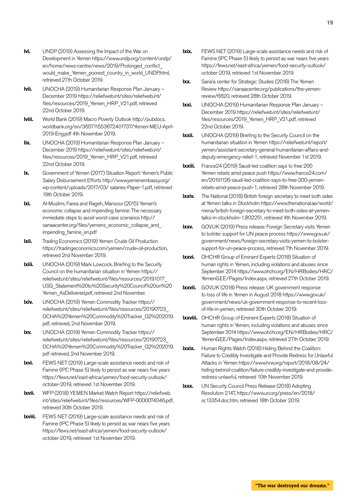- **lvi.** UNDP (2019) Assessing the Impact of the War on Development in Yemen https://www.undp.org/content/undp/ en/home/news-centre/news/2019/Prolonged\_conflict\_ would\_make\_Yemen\_poorest\_country\_in\_world\_UNDP.html, retrieved 27th October 2019.
- **lvii.** UNOCHA (2019) Humanitarian Response Plan January December 2019 https://reliefweb.int/sites/reliefweb.int/ files/resources/2019\_Yemen\_HRP\_V21.pdf, retrieved 22nd October 2019.
- **lviii.** World Bank (2019) Macro Poverty Outlook http://pubdocs. worldbank.org/en/365711553672401737/Yemen-MEU-April-2019-Eng.pdf 4th November 2019.
- **lix.** UNOCHA (2019) Humanitarian Response Plan January December 2019 https://reliefweb.int/sites/reliefweb.int/ files/resources/2019\_Yemen\_HRP\_V21.pdf, retrieved 22nd October 2019.
- **lx.** Government of Yemen (2017) Situation Report: Yemen's Public Salary Disbursement Efforts http://www.yemenembassy.org/ wp-content/uploads/2017/03/ salaries-Paper-1.pdf, retrieved 19th October 2019.
- **lxi.** Al-Muslimi, Farea and Rageh, Mansour (2015) Yemen's economic collapse and impending famine: The necessary immediate steps to avoid worst-case scenarios http:// sanaacenter.org/files/yemens\_economic\_collapse\_and\_ impending\_famine\_en.pdf
- **lxii.** Trading Economics (2019) Yemen Crude Oil Production https://tradingeconomics.com/yemen/crude-oil-production, retrieved 2nd November 2019.
- **lxiii.** UNOCHA (2019) Mark Lowcock, Briefing to the Security Council on the humanitarian situation in Yemen https:// reliefweb.int/sites/reliefweb.int/files/resources/20191017\_ USG\_Statement%20to%20Security%20Council%20on%20 Yemen AsDelivered.pdf, retrieved 2nd November.
- **lxiv.** UNOCHA (2019) Yemen Commodity Tracker https:// reliefweb.int/sites/reliefweb.int/files/resources/20190723\_ OCHA%20Yemen%20Commodity%20Tracker\_Q2%202019. pdf, retrieved, 2nd November 2019.
- **lxv.** UNOCHA (2019) Yemen Commodity Tracker https:// reliefweb.int/sites/reliefweb.int/files/resources/20190723\_ OCHA%20Yemen%20Commodity%20Tracker\_Q2%202019. pdf retrieved, 2nd November 2019.
- **lxvi.** FEWS NET (2019) Large-scale assistance needs and risk of Famine (IPC Phase 5) likely to persist as war nears five years https://fews.net/east-africa/yemen/food-security-outlook/ october-2019, retrieved 1st November 2019.
- **lxvii.** WFP (2018) YEMEN Market Watch Report https://reliefweb. int/sites/reliefweb.int/files/resources/WFP-0000074046.pdf, retrieved 30th October 2019.
- **lxviii.** FEWS NET (2019) Large-scale assistance needs and risk of Famine (IPC Phase 5) likely to persist as war nears five years https://fews.net/east-africa/yemen/food-security-outlook/ october-2019, retrieved 1st November 2019.
- **lxix.** FEWS NET (2019) Large-scale assistance needs and risk of Famine (IPC Phase 5) likely to persist as war nears five years https://fews.net/east-africa/yemen/food-security-outlook/ october-2019, retrieved 1st November 2019.
- **lxx.** Sana'a center for Strategic Studies (2018) The Yemen Review https://sanaacenter.org/publications/the-yemenreview/6620, retrieved 28th October 2019.
- **lxxi.** UNOCHA (2019) Humanitarian Response Plan January December 2019 https://reliefweb.int/sites/reliefweb.int/ files/resources/2019\_Yemen\_HRP\_V21.pdf, retrieved 22nd October 2019.
- **lxxii.** UNOCHA (2019) Briefing to the Security Council on the humanitarian situation in Yemen https://reliefweb.int/report/ yemen/assistant-secretary-general-humanitarian-affairs-anddeputy-emergency-relief-1, retrieved November 1st 2019.
- **lxxiii.** France 24 (2019) Saudi-led coalition says to free 200 Yemen rebels amid peace push https://www.france24.com/ en/20191126-saudi-led-coalition-says-to-free-200-yemenrebels-amid-peace-push-1, retrieved 28th November 2019.
- **lxxiv.** The National (2018) British foreign secretary to meet both sides at Yemen talks in Stockholm https://www.thenational.ae/world/ mena/british-foreign-secretary-to-meet-both-sides-at-yementalks-in-stockholm-1.802251, retrieved 4th November 2019.
- **lxxv.** GOV.UK (2019) Press release: Foreign Secretary visits Yemen to bolster support for UN peace process https://www.gov.uk/ government/news/foreign-secretary-visits-yemen-to-bolstersupport-for-un-peace-process, retrieved 7th November 2019.
- **lxxvi.** OHCHR Group of Eminent Experts (2018) Situation of human rights in Yemen, including violations and abuses since September 2014 https://www.ohchr.org/EN/HRBodies/HRC/ YemenGEE/Pages/Index.aspx, retrieved 27th October 2019.
- **lxxvii.** GOV.UK (2018) Press release: UK government response to loss of life in Yemen in August 2018 https://www.gov.uk/ government/news/uk-government-response-to-recent-lossof-life-in-yemen, retrieved 30th October 2019.
- **lxxviii.** OHCHR Group of Eminent Experts (2018) Situation of human rights in Yemen, including violations and abuses since September 2014 https://www.ohchr.org/EN/HRBodies/HRC/ YemenGEE/Pages/Index.aspx, retrieved 27th October 2019.
- **lxxix.** Human Rights Watch (2018) Hiding Behind the Coalition: Failure to Credibly Investigate and Provide Redress for Unlawful Attacks in Yemen https://www.hrw.org/report/2018/08/24/ hiding-behind-coalition/failure-credibly-investigate-and-provideredress-unlawful, retrieved 10th November 2019.
- **lxxx.** UN Security Council Press Release (2018) Adopting Resolution 2147, https://www.un.org/press/en/2018/ sc13354.doc.htm, retrieved 18th October 2019.